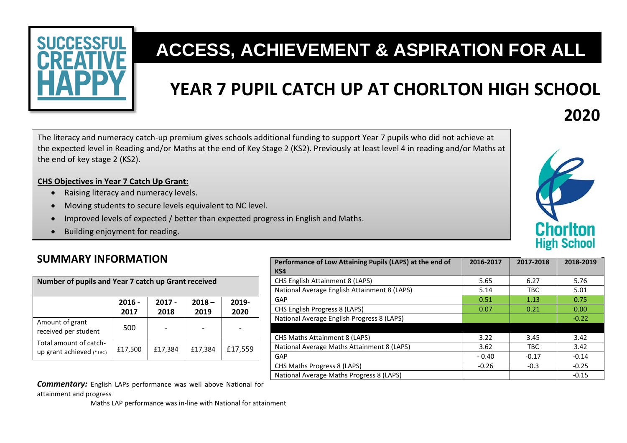

# **ACCESS, ACHIEVEMENT & ASPIRATION FOR ALL**

# **YEAR 7 PUPIL CATCH UP AT CHORLTON HIGH SCHOOL**

The literacy and numeracy catch-up premium gives schools additional funding to support Year 7 pupils who did not achieve at the expected level in Reading and/or Maths at the end of Key Stage 2 (KS2). Previously at least level 4 in reading and/or Maths at the end of key stage 2 (KS2).

#### **CHS Objectives in Year 7 Catch Up Grant:**

- Raising literacy and numeracy levels.
- Moving students to secure levels equivalent to NC level.
- Improved levels of expected / better than expected progress in English and Maths.
- Building enjoyment for reading.

### **SUMMARY INFORMATION**

| Number of pupils and Year 7 catch up Grant received |                  |                  |                  |               |  |  |  |  |
|-----------------------------------------------------|------------------|------------------|------------------|---------------|--|--|--|--|
|                                                     | $2016 -$<br>2017 | $2017 -$<br>2018 | $2018 -$<br>2019 | 2019-<br>2020 |  |  |  |  |
| Amount of grant<br>received per student             | 500              |                  |                  |               |  |  |  |  |
| Total amount of catch-<br>up grant achieved (*TBC)  | £17,500          | £17,384          | £17,384          | £17,559       |  |  |  |  |

| Performance of Low Attaining Pupils (LAPS) at the end of | 2016-2017 | 2017-2018  | 2018-2019 |
|----------------------------------------------------------|-----------|------------|-----------|
| KS4                                                      |           |            |           |
| <b>CHS English Attainment 8 (LAPS)</b>                   | 5.65      | 6.27       | 5.76      |
| National Average English Attainment 8 (LAPS)             | 5.14      | <b>TBC</b> | 5.01      |
| GAP                                                      | 0.51      | 1.13       | 0.75      |
| CHS English Progress 8 (LAPS)                            | 0.07      | 0.21       | 0.00      |
| National Average English Progress 8 (LAPS)               |           |            | $-0.22$   |
|                                                          |           |            |           |
| <b>CHS Maths Attainment 8 (LAPS)</b>                     | 3.22      | 3.45       | 3.42      |
| National Average Maths Attainment 8 (LAPS)               | 3.62      | TBC        | 3.42      |
| GAP                                                      | $-0.40$   | $-0.17$    | $-0.14$   |
| CHS Maths Progress 8 (LAPS)                              | $-0.26$   | $-0.3$     | $-0.25$   |
| National Average Maths Progress 8 (LAPS)                 |           |            | $-0.15$   |

*Commentary:* English LAPs performance was well above National for attainment and progress

Maths LAP performance was in-line with National for attainment



**2020**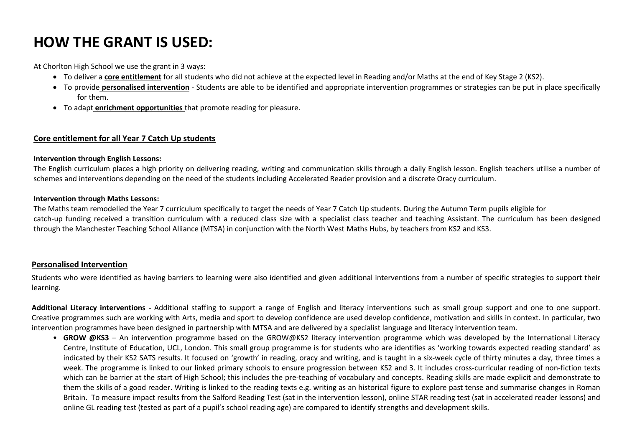# **HOW THE GRANT IS USED:**

At Chorlton High School we use the grant in 3 ways:

- To deliver a **core entitlement** for all students who did not achieve at the expected level in Reading and/or Maths at the end of Key Stage 2 (KS2).
- To provide **personalised intervention** Students are able to be identified and appropriate intervention programmes or strategies can be put in place specifically for them.
- To adapt **enrichment opportunities** that promote reading for pleasure.

#### **Core entitlement for all Year 7 Catch Up students**

#### **Intervention through English Lessons:**

The English curriculum places a high priority on delivering reading, writing and communication skills through a daily English lesson. English teachers utilise a number of schemes and interventions depending on the need of the students including Accelerated Reader provision and a discrete Oracy curriculum.

#### **Intervention through Maths Lessons:**

The Maths team remodelled the Year 7 curriculum specifically to target the needs of Year 7 Catch Up students. During the Autumn Term pupils eligible for catch-up funding received a transition curriculum with a reduced class size with a specialist class teacher and teaching Assistant. The curriculum has been designed through the Manchester Teaching School Alliance (MTSA) in conjunction with the North West Maths Hubs, by teachers from KS2 and KS3.

#### **Personalised Intervention**

Students who were identified as having barriers to learning were also identified and given additional interventions from a number of specific strategies to support their learning.

**Additional Literacy interventions -** Additional staffing to support a range of English and literacy interventions such as small group support and one to one support. Creative programmes such are working with Arts, media and sport to develop confidence are used develop confidence, motivation and skills in context. In particular, two intervention programmes have been designed in partnership with MTSA and are delivered by a specialist language and literacy intervention team.

• **GROW @KS3** – An intervention programme based on the GROW@KS2 literacy intervention programme which was developed by the International Literacy Centre, Institute of Education, UCL, London. This small group programme is for students who are identifies as 'working towards expected reading standard' as indicated by their KS2 SATS results. It focused on 'growth' in reading, oracy and writing, and is taught in a six-week cycle of thirty minutes a day, three times a week. The programme is linked to our linked primary schools to ensure progression between KS2 and 3. It includes cross-curricular reading of non-fiction texts which can be barrier at the start of High School; this includes the pre-teaching of vocabulary and concepts. Reading skills are made explicit and demonstrate to them the skills of a good reader. Writing is linked to the reading texts e.g. writing as an historical figure to explore past tense and summarise changes in Roman Britain. To measure impact results from the Salford Reading Test (sat in the intervention lesson), online STAR reading test (sat in accelerated reader lessons) and online GL reading test (tested as part of a pupil's school reading age) are compared to identify strengths and development skills.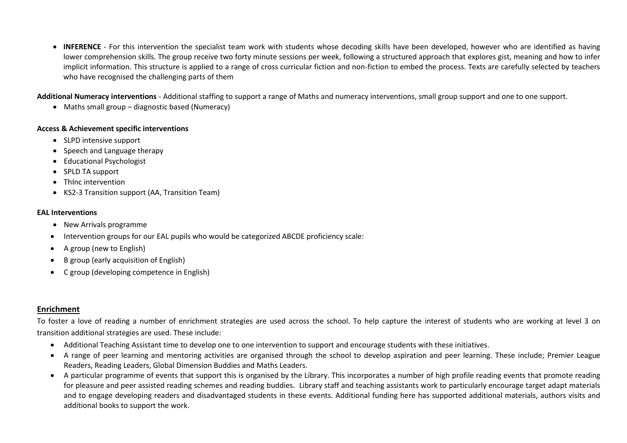**INFERENCE** - For this intervention the specialist team work with students whose decoding skills have been developed, however who are identified as having lower comprehension skills. The group receive two forty minute sessions per week, following a structured approach that explores gist, meaning and how to infer implicit information. This structure is applied to a range of cross curricular fiction and non-fiction to embed the process. Texts are carefully selected by teachers who have recognised the challenging parts of them

**Additional Numeracy interventions** - Additional staffing to support a range of Maths and numeracy interventions, small group support and one to one support.

• Maths small group – diagnostic based (Numeracy)

#### **Access & Achievement specific interventions**

- SLPD intensive support
- Speech and Language therapy
- Educational Psychologist
- SPLD TA support
- Thinc intervention
- KS2-3 Transition support (AA, Transition Team)

#### **EAL Interventions**

- New Arrivals programme
- Intervention groups for our EAL pupils who would be categorized ABCDE proficiency scale:
- $\bullet$  A group (new to English)
- B group (early acquisition of English)
- C group (developing competence in English)

#### **Enrichment**

To foster a love of reading a number of enrichment strategies are used across the school. To help capture the interest of students who are working at level 3 on transition additional strategies are used. These include:

- Additional Teaching Assistant time to develop one to one intervention to support and encourage students with these initiatives.
- A range of peer learning and mentoring activities are organised through the school to develop aspiration and peer learning. These include; Premier League Readers, Reading Leaders, Global Dimension Buddies and Maths Leaders.
- A particular programme of events that support this is organised by the Library. This incorporates a number of high profile reading events that promote reading for pleasure and peer assisted reading schemes and reading buddies. Library staff and teaching assistants work to particularly encourage target adapt materials and to engage developing readers and disadvantaged students in these events. Additional funding here has supported additional materials, authors visits and additional books to support the work.